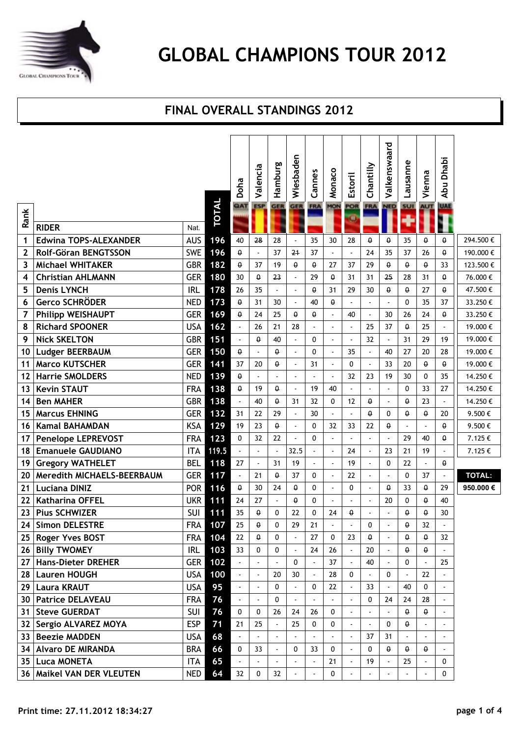

#### **FINAL OVERALL STANDINGS 2012**

|              |                              |            |              | Doha                     | Valencia                 | Hamburg                  | Wiesbaden                | Cannes                   | Monaco       | <b>Estoril</b>           | Chantilly                | Valkenswaard             | Lausanne       | Vienna         | Dhabi<br><b>Abu</b>      |               |
|--------------|------------------------------|------------|--------------|--------------------------|--------------------------|--------------------------|--------------------------|--------------------------|--------------|--------------------------|--------------------------|--------------------------|----------------|----------------|--------------------------|---------------|
| Rank         | <b>RIDER</b>                 | Nat.       | <b>TOTAL</b> | QAT                      | <b>ESP</b>               | <b>GER</b>               | <b>GER</b>               | <b>FRA</b>               | <b>MON</b>   | POR<br>Œ                 | <b>FRA</b>               | <b>NED</b>               | SUI            | <b>AUT</b>     | <b>UAE</b>               |               |
| 1            | <b>Edwina TOPS-ALEXANDER</b> | <b>AUS</b> | 196          | 40                       | 28                       | 28                       |                          | 35                       | 30           | 28                       | 0                        | $\theta$                 | 35             | $\theta$       | $\theta$                 | 294.500€      |
| $\mathbf{2}$ | Rolf-Göran BENGTSSON         | <b>SWE</b> | 196          | $\theta$                 | $\overline{\phantom{a}}$ | 37                       | 24                       | 37                       |              |                          | 24                       | 35                       | 37             | 26             | $\theta$                 | 190.000€      |
| 3            | <b>Michael WHITAKER</b>      | <b>GBR</b> | 182          | $\theta$                 | 37                       | 19                       | $\theta$                 | $\theta$                 | 27           | 37                       | 29                       | $\theta$                 | $\theta$       | $\theta$       | 33                       | 123.500€      |
| 4            | <b>Christian AHLMANN</b>     | <b>GER</b> | 180          | 30                       | $\theta$                 | 23                       | $\overline{a}$           | 29                       | $\theta$     | 31                       | 31                       | 25                       | 28             | 31             | $\theta$                 | 76.000€       |
| 5            | <b>Denis LYNCH</b>           | <b>IRL</b> | 178          | 26                       | 35                       | $\overline{a}$           | $\overline{a}$           | $\theta$                 | 31           | 29                       | 30                       | $\theta$                 | $\theta$       | 27             | $\theta$                 | 47.500€       |
| 6            | <b>Gerco SCHRÖDER</b>        | <b>NED</b> | 173          | $\theta$                 | 31                       | 30                       | ÷,                       | 40                       | $\theta$     |                          | $\overline{\phantom{a}}$ |                          | 0              | 35             | 37                       | 33.250€       |
| 7            | <b>Philipp WEISHAUPT</b>     | <b>GER</b> | 169          | 0                        | 24                       | 25                       | $\theta$                 | θ                        |              | 40                       | $\overline{a}$           | 30                       | 26             | 24             | θ                        | 33.250€       |
| 8            | <b>Richard SPOONER</b>       | <b>USA</b> | 162          | $\overline{\phantom{a}}$ | 26                       | 21                       | 28                       |                          | ÷,           |                          | 25                       | 37                       | $\theta$       | 25             | $\overline{a}$           | 19.000€       |
| 9            | <b>Nick SKELTON</b>          | <b>GBR</b> | 151          | $\mathbb{Z}^2$           | $\theta$                 | 40                       |                          | 0                        | ÷,           |                          | 32                       |                          | 31             | 29             | 19                       | 19.000€       |
| 10           | <b>Ludger BEERBAUM</b>       | <b>GER</b> | 150          | $\theta$                 |                          | $\theta$                 | $\overline{a}$           | 0                        |              | 35                       | $\blacksquare$           | 40                       | 27             | 20             | 28                       | 19.000€       |
| 11           | <b>Marco KUTSCHER</b>        | <b>GER</b> | 141          | 37                       | 20                       | $\theta$                 | ÷.                       | 31                       | ÷,           | 0                        | $\overline{\phantom{a}}$ | 33                       | 20             | $\theta$       | θ                        | 19.000€       |
| 12           | <b>Harrie SMOLDERS</b>       | <b>NED</b> | 139          | $\theta$                 |                          | $\overline{a}$           | $\overline{a}$           |                          |              | 32                       | 23                       | 19                       | 30             | $\mathbf{0}$   | 35                       | 14.250€       |
| 13           | <b>Kevin STAUT</b>           | <b>FRA</b> | 138          | $\theta$                 | 19                       | $\theta$                 | $\overline{a}$           | 19                       | 40           |                          | $\overline{a}$           |                          | 0              | 33             | 27                       | 14.250€       |
| 14           | <b>Ben MAHER</b>             | <b>GBR</b> | 138          | $\Box$                   | 40                       | $\theta$                 | 31                       | 32                       | $\mathbf{0}$ | 12                       | θ.                       | $\overline{a}$           | $\theta$       | 23             | $\overline{a}$           | 14.250€       |
| 15           | <b>Marcus EHNING</b>         | <b>GER</b> | 132          | 31                       | 22                       | 29                       | $\blacksquare$           | 30                       |              |                          | $\theta$                 | $\mathbf{0}$             | $\theta$       | $\theta$       | 20                       | 9.500€        |
| 16           | <b>Kamal BAHAMDAN</b>        | <b>KSA</b> | 129          | 19                       | 23                       | $\theta$                 | $\overline{a}$           | 0                        | 32           | 33                       | 22                       | $\theta$                 | $\overline{a}$ |                | $\pmb{\theta}$           | 9.500€        |
| 17           | <b>Penelope LEPREVOST</b>    | <b>FRA</b> | 123          | $\Omega$                 | 32                       | 22                       | $\overline{a}$           | 0                        |              |                          | $\overline{\phantom{a}}$ |                          | 29             | 40             | θ                        | 7.125€        |
| 18           | <b>Emanuele GAUDIANO</b>     | <b>ITA</b> | 119.5        |                          |                          |                          | 32.5                     |                          |              | 24                       | $\overline{a}$           | 23                       | 21             | 19             |                          | 7.125€        |
| 19           | <b>Gregory WATHELET</b>      | <b>BEL</b> | 118          | 27                       | $\overline{a}$           | 31                       | 19                       | $\blacksquare$           | ÷,           | 19                       | $\overline{\phantom{a}}$ | 0                        | 22             | $\blacksquare$ | θ                        |               |
| 20           | Meredith MICHAELS-BEERBAUM   | <b>GER</b> | 117          | $\mathbf{r}$             | 21                       | $\theta$                 | 37                       | 0                        | ÷,           | 22                       | $\overline{a}$           |                          | 0              | 37             | $\overline{a}$           | <b>TOTAL:</b> |
| 21           | <b>Luciana DINIZ</b>         | <b>POR</b> | 116          | $\theta$                 | 30                       | 24                       | $\theta$                 | 0                        |              | $\mathbf{0}$             | $\overline{\phantom{a}}$ | $\Omega$                 | 33             | $\theta$       | 29                       | 950.000€      |
| 22           | <b>Katharina OFFEL</b>       | <b>UKR</b> | 111          | 24                       | 27                       | $\overline{\phantom{a}}$ | $\theta$                 | 0                        |              |                          | L,                       | 20                       | 0              | $\theta$       | 40                       |               |
| 23           | <b>Pius SCHWIZER</b>         | <b>SUI</b> | 111          | 35                       | $\theta$                 | 0                        | 22                       | 0                        | 24           | $\theta$                 |                          |                          | $\theta$       | $\theta$       | 30                       |               |
| 24           | <b>Simon DELESTRE</b>        | <b>FRA</b> | 107          | 25                       | $\theta$                 | $\Omega$                 | 29                       | 21                       |              |                          | $\Omega$                 |                          | $\theta$       | 32             |                          |               |
|              | 25   Roger Yves BOST         | <b>FRA</b> | 104          | 22                       | $\theta$                 | 0                        | $\overline{\phantom{a}}$ | 27                       | 0            | 23                       | 0                        |                          | $\theta$       | $\theta$       | 32                       |               |
|              | 26 Billy TWOMEY              | <b>IRL</b> | 103          | 33                       | 0                        | 0                        |                          | 24                       | 26           |                          | 20                       |                          | 0              | $\theta$       |                          |               |
|              | 27 Hans-Dieter DREHER        | <b>GER</b> | 102          | $\Box$                   | $\blacksquare$           | $\overline{a}$           | 0                        |                          | 37           |                          | 40                       |                          | 0              |                | 25                       |               |
|              | 28   Lauren HOUGH            | USA        | 100          | $\omega$                 | $\overline{\phantom{a}}$ | 20                       | 30                       |                          | 28           | 0                        | $\overline{\phantom{a}}$ | 0                        |                | 22             |                          |               |
|              | 29   Laura KRAUT             | <b>USA</b> | 95           | $\blacksquare$           | $\overline{\phantom{a}}$ | 0                        |                          | 0                        | 22           |                          | 33                       |                          | 40             | $\mathbf{0}$   |                          |               |
|              | 30   Patrice DELAVEAU        | <b>FRA</b> | 76           | $\blacksquare$           | $\overline{\phantom{a}}$ | 0                        | $\overline{\phantom{a}}$ |                          |              |                          | 0                        | 24                       | 24             | 28             | $\overline{\phantom{a}}$ |               |
|              | 31   Steve GUERDAT           | <b>SUI</b> | 76           | $\mathbf 0$              | $\mathbf 0$              | 26                       | 24                       | 26                       | $\mathbf 0$  |                          | $\overline{\phantom{a}}$ |                          | $\theta$       | $\theta$       |                          |               |
|              | 32 Sergio ALVAREZ MOYA       | <b>ESP</b> | 71           | 21                       | 25                       |                          | 25                       | 0                        | 0            | $\overline{\phantom{a}}$ | $\overline{\phantom{a}}$ | 0                        | $\theta$       |                |                          |               |
|              | 33 Beezie MADDEN             | <b>USA</b> | 68           | $\Box$                   | ÷.                       | $\Box$                   | ä,                       |                          |              |                          | 37                       | 31                       | $\blacksquare$ |                |                          |               |
|              | 34 Alvaro DE MIRANDA         | <b>BRA</b> | 66           | $\mathbf 0$              | 33                       | $\overline{\phantom{a}}$ | $\mathbf 0$              | 33                       | $\mathbf 0$  |                          | 0                        | $\theta$                 | θ.             | $\theta$       |                          |               |
|              | 35   Luca MONETA             | <b>ITA</b> | 65           | $\omega$                 | $\overline{\phantom{a}}$ | $\overline{\phantom{a}}$ | $\overline{\phantom{a}}$ | $\overline{\phantom{a}}$ | 21           | $\overline{\phantom{a}}$ | 19                       | $\overline{\phantom{a}}$ | 25             |                | 0                        |               |
|              | 36   Maikel VAN DER VLEUTEN  | <b>NED</b> | 64           | 32                       | $\mathbf 0$              | 32                       |                          |                          | $\mathbf 0$  |                          |                          |                          | $\blacksquare$ |                | $\mathbf 0$              |               |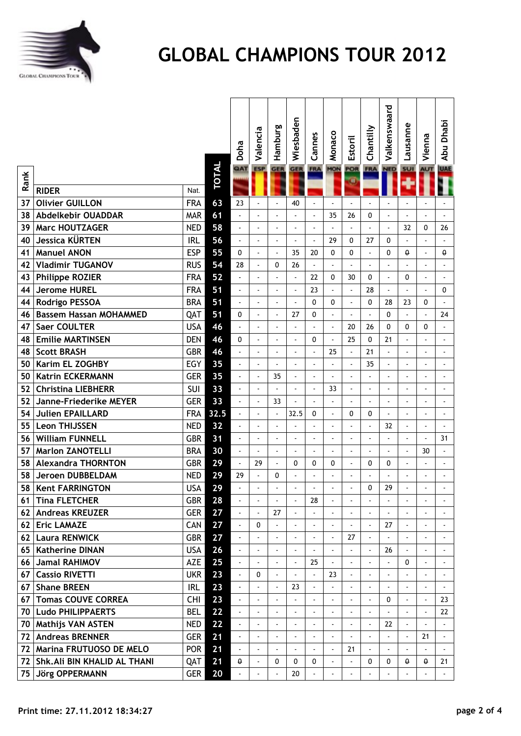

**E** Abu Dhabi

UAE **AUT** 

Abu Dhabi

|                 |                               |            |              | Doha                     | Valencia                 | Hamburg        | Wiesbaden                | Cannes                   | Monaco                   | <b>Estoril</b>           | Chantilly                | Valkenswaard             | Lausanne                 | Vienna                   | Dhabi<br>Abu             |
|-----------------|-------------------------------|------------|--------------|--------------------------|--------------------------|----------------|--------------------------|--------------------------|--------------------------|--------------------------|--------------------------|--------------------------|--------------------------|--------------------------|--------------------------|
| Rank            |                               |            | <b>TOTAL</b> | QAT                      | <b>ESP</b>               | <b>GER</b>     | <b>GER</b>               | <b>FRA</b>               | <b>MON</b>               | POR<br>Œ                 | <b>FRA</b>               | <b>NED</b>               | <b>SUI</b>               | <b>AUT</b>               | UA                       |
|                 | <b>RIDER</b>                  | Nat.       |              |                          |                          |                |                          |                          |                          |                          |                          |                          |                          |                          |                          |
| 37              | <b>Olivier GUILLON</b>        | <b>FRA</b> | 63           | 23                       |                          |                | 40                       |                          |                          |                          |                          |                          |                          |                          |                          |
| 38              | <b>Abdelkebir OUADDAR</b>     | <b>MAR</b> | 61           | $\overline{\phantom{a}}$ |                          |                | $\overline{a}$           | $\blacksquare$           | 35                       | 26                       | 0                        |                          |                          | $\overline{a}$           |                          |
| 39              | <b>Marc HOUTZAGER</b>         | <b>NED</b> | 58           | $\sim$                   | $\overline{\phantom{a}}$ |                | $\overline{a}$           | $\blacksquare$           | $\blacksquare$           | $\overline{a}$           | $\overline{a}$           | $\overline{a}$           | 32                       | 0                        | 26                       |
| 40              | Jessica KÜRTEN                | <b>IRL</b> | 56           |                          | $\overline{\phantom{a}}$ | $\overline{a}$ |                          | $\blacksquare$           | 29                       | 0                        | 27                       | 0                        |                          |                          |                          |
| 41              | <b>Manuel ANON</b>            | <b>ESP</b> | 55           | $\mathbf{0}$             | $\overline{a}$           | $\overline{a}$ | 35                       | 20                       | $\mathbf{0}$             | 0                        | $\overline{a}$           | $\mathbf{0}$             | θ                        | $\overline{\phantom{a}}$ | θ                        |
| 42              | <b>Vladimir TUGANOV</b>       | <b>RUS</b> | 54           | 28                       | $\overline{\phantom{a}}$ | 0              | 26                       | $\overline{a}$           | $\overline{a}$           | $\overline{a}$           |                          | $\overline{a}$           |                          |                          | $\overline{a}$           |
| 43              | <b>Philippe ROZIER</b>        | <b>FRA</b> | 52           |                          |                          |                | $\overline{\phantom{a}}$ | 22                       | 0                        | 30                       | 0                        | ÷,                       | 0                        |                          |                          |
| 44              | <b>Jerome HUREL</b>           | <b>FRA</b> | 51           | $\overline{\phantom{a}}$ | ÷,                       |                | $\overline{\phantom{a}}$ | 23                       | $\overline{a}$           | $\overline{\phantom{a}}$ | 28                       | $\overline{a}$           |                          | $\overline{a}$           | 0                        |
| 44              | Rodrigo PESSOA                | <b>BRA</b> | 51           | $\overline{a}$           | $\overline{\phantom{a}}$ |                | $\overline{a}$           | 0                        | $\mathbf{0}$             | $\overline{\phantom{a}}$ | 0                        | 28                       | 23                       | 0                        | $\blacksquare$           |
| 46              | <b>Bassem Hassan MOHAMMED</b> | QAT        | 51           | 0                        |                          |                | 27                       | 0                        |                          |                          |                          | $\mathbf{0}$             |                          |                          | 24                       |
| 47              | <b>Saer COULTER</b>           | <b>USA</b> | 46           | $\overline{\phantom{a}}$ | $\overline{a}$           |                | $\overline{a}$           | $\overline{\phantom{a}}$ | $\sim$                   | 20                       | 26                       | 0                        | 0                        | 0                        | $\overline{a}$           |
| 48              | <b>Emilie MARTINSEN</b>       | <b>DEN</b> | 46           | 0                        | $\overline{a}$           |                | ÷,                       | 0                        | $\overline{a}$           | 25                       | $\mathbf{0}$             | 21                       |                          |                          | $\overline{\phantom{a}}$ |
| 48              | <b>Scott BRASH</b>            | <b>GBR</b> | 46           |                          |                          |                |                          | $\overline{a}$           | 25                       | $\overline{a}$           | 21                       |                          |                          |                          |                          |
| 50              | Karim EL ZOGHBY               | EGY        | 35           | ÷,                       | $\overline{\phantom{a}}$ |                | Ĭ.                       | $\blacksquare$           | $\overline{a}$           | $\overline{a}$           | 35                       | ÷,                       |                          |                          |                          |
| 50              | <b>Katrin ECKERMANN</b>       | <b>GER</b> | 35           | ÷,                       |                          | 35             |                          | $\overline{\phantom{a}}$ | $\overline{a}$           | $\overline{\phantom{a}}$ |                          | $\overline{\phantom{a}}$ |                          |                          |                          |
| 52              | <b>Christina LIEBHERR</b>     | SUI        | 33           | $\overline{\phantom{a}}$ | $\overline{a}$           |                | $\overline{a}$           | ÷                        | 33                       | $\overline{\phantom{a}}$ | $\overline{a}$           |                          | ÷                        |                          |                          |
| 52              | Janne-Friederike MEYER        | <b>GER</b> | 33           | $\overline{\phantom{a}}$ | $\overline{a}$           | 33             |                          | $\blacksquare$           | $\overline{a}$           | $\overline{\phantom{a}}$ | $\overline{a}$           | $\overline{a}$           | $\overline{a}$           | $\blacksquare$           |                          |
| 54              | <b>Julien EPAILLARD</b>       | <b>FRA</b> | 32.5         | $\overline{a}$           |                          |                | 32.5                     | 0                        | $\overline{a}$           | 0                        | 0                        | $\overline{a}$           |                          |                          |                          |
| 55              | <b>Leon THIJSSEN</b>          | <b>NED</b> | 32           | $\overline{a}$           | $\overline{a}$           |                | $\overline{a}$           | $\overline{a}$           | ÷,                       | ÷,                       |                          | 32                       |                          | $\overline{a}$           |                          |
| 56              | <b>William FUNNELL</b>        | <b>GBR</b> | 31           | $\overline{a}$           | $\overline{a}$           |                | ÷,                       | $\overline{\phantom{a}}$ | ÷.                       | $\blacksquare$           | $\overline{a}$           | $\overline{a}$           |                          | $\overline{a}$           | 31                       |
| 57              | <b>Marlon ZANOTELLI</b>       | <b>BRA</b> | 30           | $\overline{a}$           |                          |                | ÷,                       | $\overline{a}$           |                          | ÷,                       | $\overline{a}$           |                          |                          | 30                       |                          |
| 58              | <b>Alexandra THORNTON</b>     | <b>GBR</b> | 29           | $\overline{\phantom{a}}$ | 29                       |                | 0                        | 0                        | 0                        | ÷,                       | 0                        | 0                        | ÷                        | $\blacksquare$           | $\overline{\phantom{a}}$ |
| 58              | <b>Jeroen DUBBELDAM</b>       | <b>NED</b> | 29           | 29                       | $\overline{a}$           | $\mathbf{0}$   |                          | ÷,                       | $\overline{\phantom{a}}$ | $\overline{\phantom{a}}$ |                          |                          |                          |                          |                          |
| 58              | <b>Kent FARRINGTON</b>        | <b>USA</b> | 29           |                          |                          |                |                          |                          |                          |                          | 0                        | 29                       |                          |                          |                          |
| 61              | <b>Tina FLETCHER</b>          | <b>GBR</b> | 28           | $\overline{\phantom{a}}$ | $\blacksquare$           | $\blacksquare$ | $\overline{\phantom{a}}$ | 28                       | $\overline{\phantom{a}}$ | $\overline{\phantom{a}}$ | $\overline{\phantom{a}}$ | $\blacksquare$           | $\overline{\phantom{a}}$ | $\overline{\phantom{a}}$ | $\overline{\phantom{a}}$ |
| 62              | <b>Andreas KREUZER</b>        | <b>GER</b> | 27           | $\overline{a}$           |                          | 27             |                          |                          |                          |                          |                          |                          |                          |                          |                          |
|                 | 62 Eric LAMAZE                | CAN        | 27           | $\overline{\phantom{a}}$ | 0                        |                | $\overline{\phantom{a}}$ | $\overline{\phantom{a}}$ | ÷                        | $\blacksquare$           | $\overline{a}$           | 27                       |                          | $\blacksquare$           | $\overline{\phantom{a}}$ |
|                 | 62 Laura RENWICK              | <b>GBR</b> | 27           | $\blacksquare$           | $\overline{\phantom{a}}$ |                | $\overline{a}$           | $\overline{\phantom{a}}$ | ÷,                       | 27                       |                          |                          |                          |                          | $\overline{\phantom{a}}$ |
| 65              | <b>Katherine DINAN</b>        | <b>USA</b> | 26           | $\overline{\phantom{a}}$ | $\overline{a}$           |                |                          | $\overline{\phantom{a}}$ | $\overline{a}$           |                          |                          | 26                       |                          |                          |                          |
| 66 I            | <b>Jamal RAHIMOV</b>          | AZE        | 25           | $\overline{\phantom{a}}$ | $\overline{\phantom{a}}$ |                | $\overline{\phantom{a}}$ | 25                       | $\blacksquare$           | $\blacksquare$           | $\overline{a}$           | $\overline{\phantom{a}}$ | 0                        | $\overline{\phantom{a}}$ | $\overline{\phantom{a}}$ |
| 67 <sup>1</sup> | <b>Cassio RIVETTI</b>         | <b>UKR</b> | 23           | $\overline{\phantom{a}}$ | 0                        |                |                          | $\blacksquare$           | 23                       | $\overline{\phantom{a}}$ |                          | $\overline{\phantom{a}}$ |                          |                          | $\overline{\phantom{a}}$ |
| 67 <sup>1</sup> | <b>Shane BREEN</b>            | <b>IRL</b> | 23           |                          |                          |                | 23                       | $\overline{a}$           |                          |                          |                          |                          |                          |                          |                          |
| 67 <sup>1</sup> | <b>Tomas COUVE CORREA</b>     | CHI        | 23           | $\blacksquare$           | $\overline{\phantom{a}}$ |                |                          | $\overline{\phantom{a}}$ | $\blacksquare$           | $\overline{\phantom{a}}$ | $\overline{a}$           | 0                        |                          | $\blacksquare$           | 23                       |
|                 | 70   Ludo PHILIPPAERTS        | <b>BEL</b> | 22           |                          | $\overline{\phantom{a}}$ |                | $\overline{a}$           | $\overline{\phantom{a}}$ | $\overline{\phantom{a}}$ | $\overline{\phantom{a}}$ |                          |                          |                          | $\blacksquare$           | 22                       |
| 70              | <b>Mathijs VAN ASTEN</b>      | <b>NED</b> | 22           | $\blacksquare$           |                          |                |                          |                          | ÷.                       | $\overline{\phantom{a}}$ |                          | 22                       |                          |                          |                          |
| 72              | <b>Andreas BRENNER</b>        | <b>GER</b> | 21           | $\overline{\phantom{a}}$ | $\blacksquare$           |                | ÷,                       | $\blacksquare$           | ÷                        | ÷,                       | $\overline{\phantom{a}}$ | $\overline{\phantom{a}}$ | ÷,                       | 21                       | $\overline{\phantom{a}}$ |
| 72              | Marina FRUTUOSO DE MELO       | <b>POR</b> | 21           | $\overline{\phantom{a}}$ |                          |                |                          | $\blacksquare$           | $\blacksquare$           | 21                       |                          |                          |                          |                          | $\sim$                   |
| 72 I            | Shk. Ali BIN KHALID AL THANI  | QAT        | 21           | θ                        | $\overline{\phantom{a}}$ | 0              | 0                        | 0                        | $\overline{\phantom{a}}$ | $\overline{\phantom{a}}$ | 0                        | 0                        | θ                        | θ                        | 21                       |
| 75              | Jörg OPPERMANN                | <b>GER</b> | 20           |                          |                          |                | 20                       | $\overline{a}$           |                          |                          |                          |                          |                          |                          | $\overline{\phantom{a}}$ |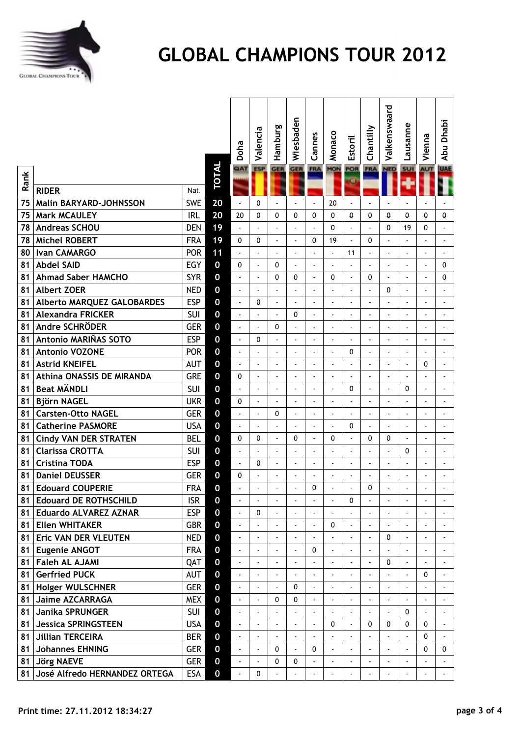

**Malkenswaard** 

Valkenswaard

**AUT** UAE

**E** Abu Dhabi

Abu Dhabi

|      |                               |            |                  | Doha                     | Valencia                 | Hamburg                  | Wiesbaden                | Cannes                   | Monaco                   | Estoril                  | Chantilly                | Valkenswaa               | Lausanne                 | Vienna                   | iyeyu<br>$\ddot{\hat{\mathbf{z}}}$ |
|------|-------------------------------|------------|------------------|--------------------------|--------------------------|--------------------------|--------------------------|--------------------------|--------------------------|--------------------------|--------------------------|--------------------------|--------------------------|--------------------------|------------------------------------|
| Rank |                               |            | TOTAL            | QAT                      | <b>ESP</b>               | <b>GER</b>               | <b>GER</b>               | <b>FRA</b>               | MON                      | POR<br>Ξ                 | <b>FRA</b>               | <b>NED</b>               | <b>SUI</b>               | <b>AUT</b>               | U                                  |
|      | <b>RIDER</b>                  | Nat.       |                  |                          |                          |                          |                          |                          |                          |                          |                          |                          |                          |                          |                                    |
| 75   | <b>Malin BARYARD-JOHNSSON</b> | <b>SWE</b> | 20               | $\overline{a}$           | 0                        |                          |                          |                          | 20                       | $\blacksquare$           |                          |                          |                          |                          |                                    |
| 75   | <b>Mark MCAULEY</b>           | <b>IRL</b> | 20               | 20                       | $\mathbf{0}$             | $\mathbf{0}$             | 0                        | $\mathbf{0}$             | $\Omega$                 | $\theta$                 | $\theta$                 | $\theta$                 | $\theta$                 | $\theta$                 | €                                  |
| 78   | <b>Andreas SCHOU</b>          | <b>DEN</b> | 19               | $\overline{\phantom{a}}$ | $\overline{\phantom{a}}$ | $\overline{a}$           |                          |                          | $\mathbf{0}$             | $\sim$                   | $\blacksquare$           | 0                        | 19                       | 0                        |                                    |
| 78   | <b>Michel ROBERT</b>          | <b>FRA</b> | 19               | 0                        | 0                        | $\overline{a}$           | ÷,                       | $\mathbf{0}$             | 19                       | $\blacksquare$           | 0                        | $\overline{a}$           | $\overline{\phantom{a}}$ |                          |                                    |
| 80   | <b>Ivan CAMARGO</b>           | <b>POR</b> | 11               |                          | $\blacksquare$           | $\overline{\phantom{a}}$ | ÷,                       |                          |                          | 11                       | $\overline{a}$           | $\overline{a}$           | ÷,                       | $\overline{a}$           |                                    |
| 81   | <b>Abdel SAID</b>             | EGY        | $\mathbf 0$      | 0                        | ÷,                       | 0                        | ÷,                       | $\overline{a}$           |                          | $\overline{a}$           | $\overline{a}$           | $\overline{a}$           | ÷,                       | $\overline{a}$           | C                                  |
| 81   | <b>Ahmad Saber HAMCHO</b>     | <b>SYR</b> | $\mathbf 0$      | $\overline{a}$           | $\blacksquare$           | $\mathbf{0}$             | 0                        | $\overline{a}$           | 0                        |                          | 0                        |                          | ÷,                       |                          | C                                  |
| 81   | <b>Albert ZOER</b>            | <b>NED</b> | $\boldsymbol{0}$ | $\overline{\phantom{a}}$ | ÷,                       | $\overline{a}$           | $\overline{\phantom{a}}$ | $\overline{a}$           |                          |                          |                          | 0                        | $\overline{a}$           | $\overline{a}$           |                                    |
| 81   | Alberto MARQUEZ GALOBARDES    | <b>ESP</b> | $\mathbf 0$      | $\overline{\phantom{a}}$ | 0                        | $\overline{a}$           | $\overline{a}$           | $\overline{a}$           |                          |                          | $\blacksquare$           |                          | L,                       |                          |                                    |
| 81   | <b>Alexandra FRICKER</b>      | SUI        | $\mathbf 0$      | $\overline{a}$           | $\overline{a}$           | $\overline{a}$           | 0                        | $\overline{a}$           |                          |                          | $\overline{a}$           | $\overline{a}$           | L.                       |                          |                                    |
| 81   | Andre SCHRÖDER                | <b>GER</b> | $\boldsymbol{0}$ | $\blacksquare$           | $\overline{a}$           | 0                        | ÷                        | $\overline{a}$           | ÷,                       | $\overline{\phantom{a}}$ | $\overline{\phantom{a}}$ | ÷,                       | ÷                        | ÷,                       |                                    |
| 81   | Antonio MARIÑAS SOTO          | <b>ESP</b> | $\mathbf 0$      | $\overline{a}$           | 0                        | $\overline{a}$           | ÷,                       | $\overline{a}$           |                          |                          | $\blacksquare$           | $\overline{a}$           | $\overline{a}$           | $\overline{\phantom{a}}$ |                                    |
| 81   | <b>Antonio VOZONE</b>         | <b>POR</b> | $\mathbf 0$      | $\overline{\phantom{a}}$ | $\overline{a}$           | $\overline{\phantom{a}}$ | $\overline{\phantom{a}}$ | $\overline{a}$           | ÷,                       | $\mathbf{0}$             | $\blacksquare$           | $\overline{a}$           | ÷,                       |                          |                                    |
| 81   | <b>Astrid KNEIFEL</b>         | <b>AUT</b> | $\boldsymbol{0}$ | $\overline{\phantom{a}}$ | $\blacksquare$           | $\overline{\phantom{a}}$ | L,                       | ÷,                       |                          |                          | $\overline{a}$           | $\overline{\phantom{a}}$ | ÷,                       | 0                        |                                    |
| 81   | Athina ONASSIS DE MIRANDA     | <b>GRE</b> | $\mathbf 0$      | 0                        | $\overline{a}$           |                          | ÷,                       |                          |                          |                          | $\overline{a}$           | $\overline{a}$           | ÷,                       | $\overline{a}$           |                                    |
| 81   | <b>Beat MÄNDLI</b>            | SUI        | $\mathbf 0$      | $\overline{a}$           | $\blacksquare$           |                          | ÷,                       |                          |                          | 0                        | $\overline{a}$           |                          | 0                        | ÷,                       |                                    |
| 81   | <b>Björn NAGEL</b>            | <b>UKR</b> | $\mathbf 0$      | 0                        | $\overline{a}$           | $\overline{a}$           | ÷,                       | $\overline{a}$           |                          |                          |                          | ÷,                       | ÷                        | ÷,                       |                                    |
| 81   | <b>Carsten-Otto NAGEL</b>     | <b>GER</b> | $\mathbf 0$      | $\overline{a}$           | $\overline{a}$           | 0                        | ÷,                       | $\overline{a}$           |                          |                          | $\overline{a}$           |                          | $\overline{a}$           |                          |                                    |
| 81   | <b>Catherine PASMORE</b>      | <b>USA</b> | $\mathbf 0$      | $\blacksquare$           | $\overline{\phantom{a}}$ |                          | ÷,                       | $\overline{a}$           |                          | 0                        | $\overline{\phantom{a}}$ | $\overline{a}$           | $\blacksquare$           | $\overline{a}$           |                                    |
| 81   | <b>Cindy VAN DER STRATEN</b>  | <b>BEL</b> | $\mathbf 0$      | $\mathbf 0$              | 0                        | $\overline{a}$           | 0                        | $\overline{a}$           | 0                        |                          | $\mathbf 0$              | 0                        | $\overline{a}$           |                          |                                    |
| 81   | <b>Clarissa CROTTA</b>        | SUI        | $\mathbf 0$      | $\overline{a}$           | $\overline{a}$           | $\overline{a}$           | $\overline{\phantom{a}}$ | $\overline{a}$           |                          |                          | $\overline{a}$           | $\overline{a}$           | 0                        | $\overline{a}$           |                                    |
| 81   | <b>Cristina TODA</b>          | <b>ESP</b> | $\boldsymbol{0}$ | $\blacksquare$           | 0                        | ÷                        | ÷,                       | $\overline{a}$           | ÷,                       | $\blacksquare$           | $\overline{\phantom{a}}$ | ÷,                       | ÷,                       | ÷,                       |                                    |
| 81   | <b>Daniel DEUSSER</b>         | <b>GER</b> | $\mathbf 0$      | 0                        | $\overline{a}$           | $\overline{\phantom{a}}$ | $\overline{\phantom{a}}$ | $\overline{a}$           | ÷,                       | $\blacksquare$           | $\overline{a}$           | $\overline{a}$           | $\blacksquare$           | ÷,                       |                                    |
| 81   | <b>Edouard COUPERIE</b>       | <b>FRA</b> | $\mathbf 0$      | $\overline{\phantom{a}}$ | $\overline{a}$           |                          | Ĭ.                       | 0                        |                          | $\overline{a}$           | 0                        | $\overline{a}$           | ÷,                       |                          |                                    |
| 81   | <b>Edouard DE ROTHSCHILD</b>  | <b>ISR</b> | 0                |                          |                          |                          |                          |                          |                          | 0                        |                          |                          |                          |                          |                                    |
|      | 81 Eduardo ALVAREZ AZNAR      | <b>ESP</b> | $\boldsymbol{0}$ | $\overline{a}$           | 0                        |                          |                          |                          |                          |                          |                          | $\overline{a}$           |                          |                          |                                    |
| 81   | <b>Ellen WHITAKER</b>         | <b>GBR</b> | $\mathbf 0$      | $\overline{\phantom{a}}$ |                          |                          |                          |                          | $\mathbf{0}$             |                          |                          |                          |                          |                          |                                    |
| 81 I | Eric VAN DER VLEUTEN          | <b>NED</b> | $\boldsymbol{0}$ | $\blacksquare$           | $\overline{\phantom{a}}$ | $\overline{a}$           | ÷,                       | $\overline{a}$           |                          | $\overline{\phantom{a}}$ | $\overline{\phantom{a}}$ | 0                        | $\blacksquare$           |                          |                                    |
| 81   | <b>Eugenie ANGOT</b>          | <b>FRA</b> | $\boldsymbol{0}$ | $\overline{a}$           | $\overline{a}$           | $\frac{1}{2}$            | $\overline{\phantom{a}}$ | $\mathbf{0}$             |                          | $\blacksquare$           | $\overline{a}$           |                          | $\overline{a}$           |                          |                                    |
| 81   | <b>Faleh AL AJAMI</b>         | QAT        | $\mathbf 0$      | $\blacksquare$           | $\blacksquare$           | ÷                        | ÷                        |                          |                          |                          | ٠                        | 0                        | $\overline{a}$           |                          |                                    |
| 81   | <b>Gerfried PUCK</b>          | <b>AUT</b> | $\mathbf 0$      | $\frac{1}{2}$            | $\overline{a}$           |                          | $\overline{a}$           | $\overline{a}$           |                          |                          | $\overline{a}$           |                          | $\overline{a}$           | 0                        |                                    |
| 81   | <b>Holger WULSCHNER</b>       | <b>GER</b> | $\mathbf 0$      | $\overline{a}$           | $\overline{a}$           | $\mathbf{r}$             | 0                        | $\overline{a}$           |                          |                          |                          | $\overline{a}$           | $\overline{a}$           |                          |                                    |
| 81   | <b>Jaime AZCARRAGA</b>        | <b>MEX</b> | $\mathbf 0$      | $\blacksquare$           | $\overline{a}$           | 0                        | 0                        | $\overline{\phantom{a}}$ |                          | $\blacksquare$           | $\overline{\phantom{a}}$ | $\overline{a}$           | $\blacksquare$           | $\overline{a}$           |                                    |
| 81   | Janika SPRUNGER               | <b>SUI</b> | $\mathbf 0$      | $\frac{1}{2}$            | $\overline{a}$           |                          |                          | $\overline{a}$           |                          | $\mathbf{r}$             | $\overline{a}$           | $\overline{a}$           | 0                        |                          |                                    |
| 81   | <b>Jessica SPRINGSTEEN</b>    | USA        | $\mathbf 0$      | $\blacksquare$           | $\overline{\phantom{a}}$ | $\overline{a}$           | ÷,                       | $\overline{a}$           | 0                        | $\overline{a}$           | 0                        | $\mathbf{0}$             | 0                        | 0                        |                                    |
| 81   | <b>Jillian TERCEIRA</b>       | <b>BER</b> | $\boldsymbol{0}$ | $\overline{\phantom{a}}$ | $\blacksquare$           | ÷                        | $\overline{a}$           | $\overline{a}$           |                          | $\overline{\phantom{a}}$ | $\overline{a}$           | $\overline{a}$           | $\blacksquare$           | 0                        |                                    |
| 81   | <b>Johannes EHNING</b>        | <b>GER</b> | $\mathbf 0$      | $\frac{1}{2}$            | $\overline{\phantom{a}}$ | 0                        | $\overline{\phantom{a}}$ | $\mathbf{0}$             | $\overline{\phantom{a}}$ | $\blacksquare$           | $\overline{\phantom{a}}$ | $\overline{a}$           | $\overline{a}$           | 0                        | $\mathbf 0$                        |
| 81   | <b>Jörg NAEVE</b>             | <b>GER</b> | $\boldsymbol{0}$ | L,                       | $\overline{a}$           | 0                        | 0                        |                          |                          |                          | $\overline{a}$           | $\overline{a}$           | $\overline{a}$           |                          |                                    |
| 81   | José Alfredo HERNANDEZ ORTEGA | ESA        | $\boldsymbol{0}$ |                          | 0                        |                          |                          |                          |                          |                          |                          |                          |                          |                          |                                    |